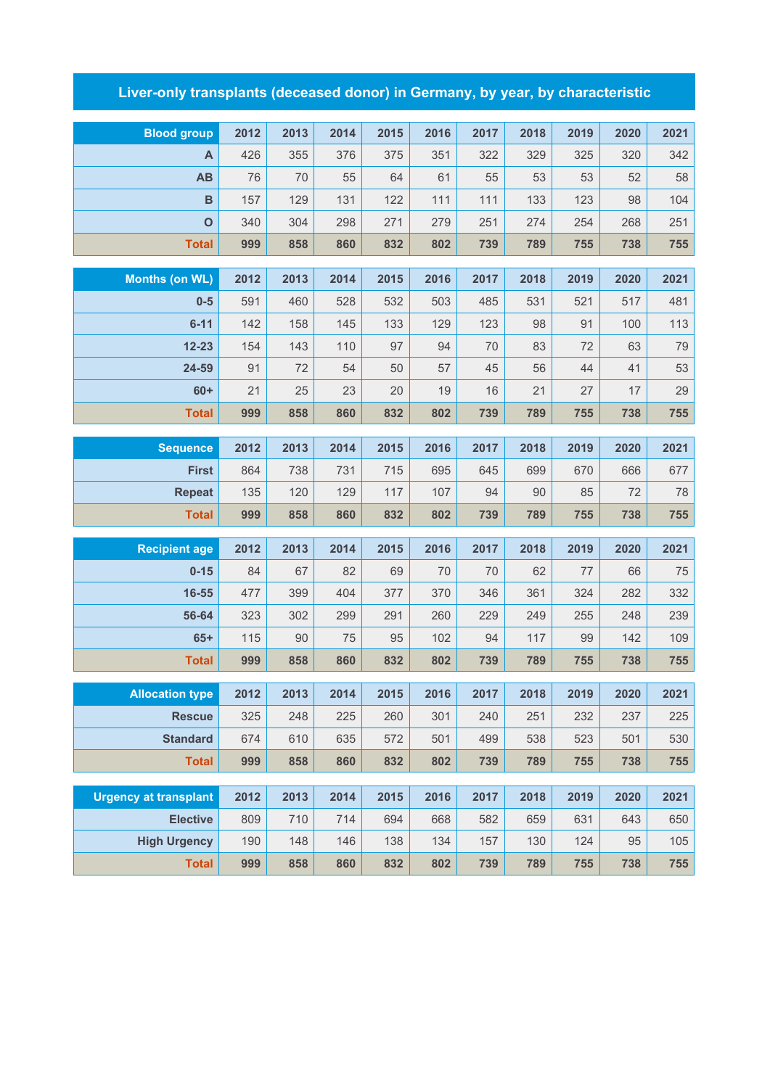## **Liver-only transplants (deceased donor) in Germany, by year, by characteristic**

| <b>Blood group</b>           | 2012      | 2013     | 2014     | 2015     | 2016     | 2017     | 2018     | 2019     | 2020     | 2021     |
|------------------------------|-----------|----------|----------|----------|----------|----------|----------|----------|----------|----------|
| Α                            | 426       | 355      | 376      | 375      | 351      | 322      | 329      | 325      | 320      | 342      |
| AB                           | 76        | 70       | 55       | 64       | 61       | 55       | 53       | 53       | 52       | 58       |
| B                            | 157       | 129      | 131      | 122      | 111      | 111      | 133      | 123      | 98       | 104      |
| $\mathbf 0$                  | 340       | 304      | 298      | 271      | 279      | 251      | 274      | 254      | 268      | 251      |
| <b>Total</b>                 | 999       | 858      | 860      | 832      | 802      | 739      | 789      | 755      | 738      | 755      |
|                              |           | 2013     |          |          |          |          |          |          |          |          |
| <b>Months (on WL)</b>        | 2012      |          | 2014     | 2015     | 2016     | 2017     | 2018     | 2019     | 2020     | 2021     |
| $0-5$                        | 591       | 460      | 528      | 532      | 503      | 485      | 531      | 521      | 517      | 481      |
| $6 - 11$                     | 142       | 158      | 145      | 133      | 129      | 123      | 98       | 91       | 100      | 113      |
| $12 - 23$<br>24-59           | 154<br>91 | 143      | 110      | 97<br>50 | 94       | 70<br>45 | 83<br>56 | 72<br>44 | 63       | 79<br>53 |
| $60+$                        | 21        | 72<br>25 | 54<br>23 | 20       | 57<br>19 | 16       | 21       | 27       | 41<br>17 | 29       |
| <b>Total</b>                 | 999       | 858      | 860      | 832      | 802      | 739      | 789      | 755      | 738      | 755      |
|                              |           |          |          |          |          |          |          |          |          |          |
| <b>Sequence</b>              | 2012      | 2013     | 2014     | 2015     | 2016     | 2017     | 2018     | 2019     | 2020     | 2021     |
| <b>First</b>                 | 864       | 738      | 731      | 715      | 695      | 645      | 699      | 670      | 666      | 677      |
| <b>Repeat</b>                | 135       | 120      | 129      | 117      | 107      | 94       | 90       | 85       | 72       | 78       |
| <b>Total</b>                 | 999       | 858      | 860      | 832      | 802      | 739      | 789      | 755      | 738      | 755      |
| <b>Recipient age</b>         | 2012      | 2013     | 2014     | 2015     | 2016     | 2017     | 2018     | 2019     | 2020     | 2021     |
| $0 - 15$                     | 84        | 67       | 82       | 69       | 70       | 70       | 62       | 77       | 66       | 75       |
| 16-55                        | 477       | 399      | 404      | 377      | 370      | 346      | 361      | 324      | 282      | 332      |
| 56-64                        | 323       | 302      | 299      | 291      | 260      | 229      | 249      | 255      | 248      | 239      |
| $65+$                        | 115       | 90       | 75       | 95       | 102      | 94       | 117      | 99       | 142      | 109      |
| <b>Total</b>                 | 999       | 858      | 860      | 832      | 802      | 739      | 789      | 755      | 738      | 755      |
|                              |           |          |          |          |          |          |          |          |          |          |
| <b>Allocation type</b>       | 2012      | 2013     | 2014     | 2015     | 2016     | 2017     | 2018     | 2019     | 2020     | 2021     |
| <b>Rescue</b>                | 325       | 248      | 225      | 260      | 301      | 240      | 251      | 232      | 237      | 225      |
| <b>Standard</b>              | 674       | 610      | 635      | 572      | 501      | 499      | 538      | 523      | 501      | 530      |
| <b>Total</b>                 | 999       | 858      | 860      | 832      | 802      | 739      | 789      | 755      | 738      | 755      |
| <b>Urgency at transplant</b> | 2012      | 2013     | 2014     | 2015     | 2016     | 2017     | 2018     | 2019     | 2020     | 2021     |
| <b>Elective</b>              | 809       | 710      | 714      | 694      | 668      | 582      | 659      | 631      | 643      | 650      |
| <b>High Urgency</b>          | 190       | 148      | 146      | 138      | 134      | 157      | 130      | 124      | 95       | 105      |
| <b>Total</b>                 | 999       | 858      | 860      | 832      | 802      | 739      | 789      | 755      | 738      | 755      |